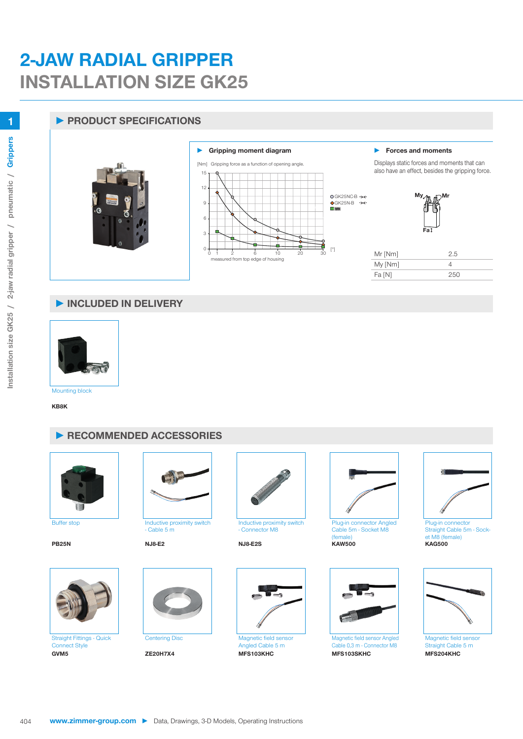## **2-JAW RADIAL GRIPPER INSTALLATION SIZE GK25**

## **► PRODUCT SPECIFICATIONS**



## **► INCLUDED IN DELIVERY**



**KB8K**





Straight Fittings - Quick Connect Style **GVM5 ZE20H7X4 MFS103KHC MFS103SKHC MFS204KHC**



Buffer stop **Inductive proximity switch** - Cable 5 m





Inductive proximity switch - Connector M8

Centering Disc Magnetic field sensor Angled Cable 5 m<br>MFS103KHC



Plug-in connector Angled Cable 5m - Socket M8 (female)<br>KAW500 **PB25N NJ8-E2 NJ8-E2S KAW500 KAG500**



Magnetic field sensor Angled Cable 0,3 m - Connector M8



Plug-in connecto Straight Cable 5m - Socket M8 (female)<br>KAG500



Magnetic field sensor Straight Cable 5 m